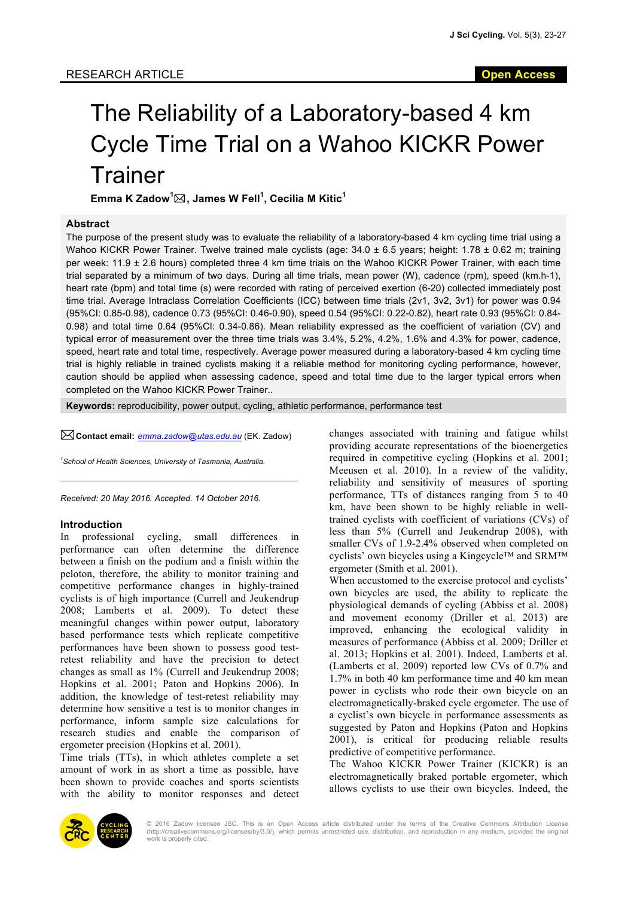# The Reliability of a Laboratory-based 4 km Cycle Time Trial on a Wahoo KICKR Power **Trainer**

**Emma K Zadow<sup>1</sup>** \***, James W Fell<sup>1</sup> , Cecilia M Kitic<sup>1</sup>**

#### **Abstract**

The purpose of the present study was to evaluate the reliability of a laboratory-based 4 km cycling time trial using a Wahoo KICKR Power Trainer. Twelve trained male cyclists (age: 34.0 ± 6.5 years; height: 1.78 ± 0.62 m; training per week: 11.9 ± 2.6 hours) completed three 4 km time trials on the Wahoo KICKR Power Trainer, with each time trial separated by a minimum of two days. During all time trials, mean power (W), cadence (rpm), speed (km.h-1), heart rate (bpm) and total time (s) were recorded with rating of perceived exertion (6-20) collected immediately post time trial. Average Intraclass Correlation Coefficients (ICC) between time trials (2v1, 3v2, 3v1) for power was 0.94 (95%CI: 0.85-0.98), cadence 0.73 (95%CI: 0.46-0.90), speed 0.54 (95%CI: 0.22-0.82), heart rate 0.93 (95%CI: 0.84- 0.98) and total time 0.64 (95%CI: 0.34-0.86). Mean reliability expressed as the coefficient of variation (CV) and typical error of measurement over the three time trials was 3.4%, 5.2%, 4.2%, 1.6% and 4.3% for power, cadence, speed, heart rate and total time, respectively. Average power measured during a laboratory-based 4 km cycling time trial is highly reliable in trained cyclists making it a reliable method for monitoring cycling performance, however, caution should be applied when assessing cadence, speed and total time due to the larger typical errors when completed on the Wahoo KICKR Power Trainer..

**Keywords:** reproducibility, power output, cycling, athletic performance, performance test

\***Contact email:** *emma.zadow@utas.edu.au* (EK. Zadow)

 $\mathcal{L}_\text{max} = \mathcal{L}_\text{max} = \mathcal{L}_\text{max} = \mathcal{L}_\text{max} = \mathcal{L}_\text{max} = \mathcal{L}_\text{max} = \mathcal{L}_\text{max} = \mathcal{L}_\text{max} = \mathcal{L}_\text{max} = \mathcal{L}_\text{max} = \mathcal{L}_\text{max} = \mathcal{L}_\text{max} = \mathcal{L}_\text{max} = \mathcal{L}_\text{max} = \mathcal{L}_\text{max} = \mathcal{L}_\text{max} = \mathcal{L}_\text{max} = \mathcal{L}_\text{max} = \mathcal{$ 

*1 School of Health Sciences, University of Tasmania, Australia.*

*Received: 20 May 2016. Accepted. 14 October 2016.*

#### **Introduction**

In professional cycling, small differences in performance can often determine the difference between a finish on the podium and a finish within the peloton, therefore, the ability to monitor training and competitive performance changes in highly-trained cyclists is of high importance (Currell and Jeukendrup 2008; Lamberts et al. 2009). To detect these meaningful changes within power output, laboratory based performance tests which replicate competitive performances have been shown to possess good testretest reliability and have the precision to detect changes as small as 1% (Currell and Jeukendrup 2008; Hopkins et al. 2001; Paton and Hopkins 2006). In addition, the knowledge of test-retest reliability may determine how sensitive a test is to monitor changes in performance, inform sample size calculations for research studies and enable the comparison of ergometer precision (Hopkins et al. 2001).

Time trials (TTs), in which athletes complete a set amount of work in as short a time as possible, have been shown to provide coaches and sports scientists with the ability to monitor responses and detect

changes associated with training and fatigue whilst providing accurate representations of the bioenergetics required in competitive cycling (Hopkins et al. 2001; Meeusen et al. 2010). In a review of the validity, reliability and sensitivity of measures of sporting performance, TTs of distances ranging from 5 to 40 km, have been shown to be highly reliable in welltrained cyclists with coefficient of variations (CVs) of less than 5% (Currell and Jeukendrup 2008), with smaller CVs of 1.9-2.4% observed when completed on cyclists' own bicycles using a Kingcycle™ and SRM™ ergometer (Smith et al. 2001).

When accustomed to the exercise protocol and cyclists' own bicycles are used, the ability to replicate the physiological demands of cycling (Abbiss et al. 2008) and movement economy (Driller et al. 2013) are improved, enhancing the ecological validity in measures of performance (Abbiss et al. 2009; Driller et al. 2013; Hopkins et al. 2001). Indeed, Lamberts et al. (Lamberts et al. 2009) reported low CVs of 0.7% and 1.7% in both 40 km performance time and 40 km mean power in cyclists who rode their own bicycle on an electromagnetically-braked cycle ergometer. The use of a cyclist's own bicycle in performance assessments as suggested by Paton and Hopkins (Paton and Hopkins 2001), is critical for producing reliable results predictive of competitive performance.

The Wahoo KICKR Power Trainer (KICKR) is an electromagnetically braked portable ergometer, which allows cyclists to use their own bicycles. Indeed, the



© 2016 Zadow licensee JSC. This is an Open Access article distributed under the terms of the Creative Commons Attribution License<br>(http://creativecommons.org/licenses/by/3.0/), which permits unrestricted use, distribution, work is properly cited.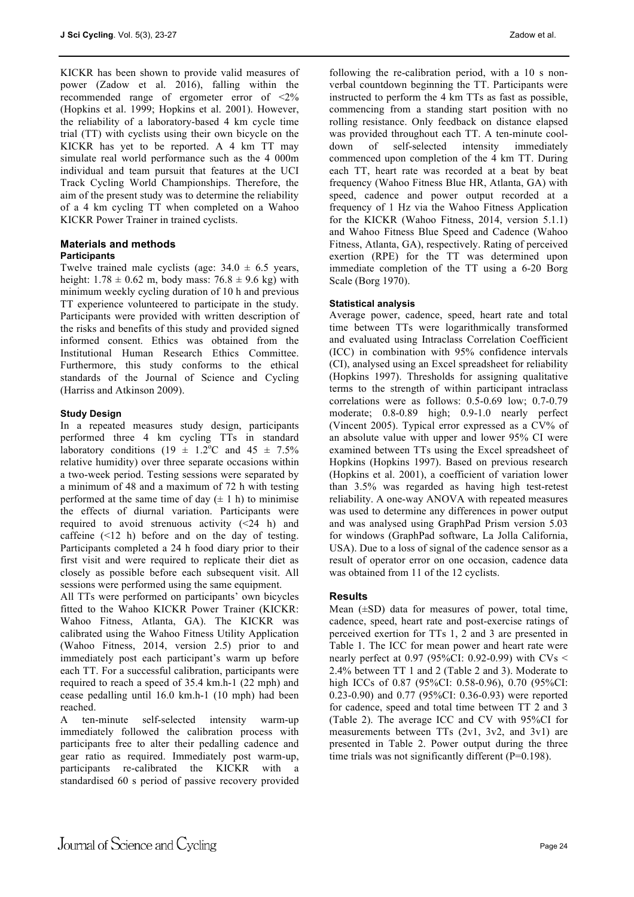KICKR has been shown to provide valid measures of power (Zadow et al. 2016), falling within the recommended range of ergometer error of <2% (Hopkins et al. 1999; Hopkins et al. 2001). However, the reliability of a laboratory-based 4 km cycle time trial (TT) with cyclists using their own bicycle on the KICKR has yet to be reported. A 4 km TT may simulate real world performance such as the 4 000m individual and team pursuit that features at the UCI Track Cycling World Championships. Therefore, the aim of the present study was to determine the reliability of a 4 km cycling TT when completed on a Wahoo KICKR Power Trainer in trained cyclists.

#### **Materials and methods Participants**

Twelve trained male cyclists (age:  $34.0 \pm 6.5$  years, height:  $1.78 \pm 0.62$  m, body mass:  $76.8 \pm 9.6$  kg) with minimum weekly cycling duration of 10 h and previous TT experience volunteered to participate in the study. Participants were provided with written description of the risks and benefits of this study and provided signed informed consent. Ethics was obtained from the Institutional Human Research Ethics Committee. Furthermore, this study conforms to the ethical standards of the Journal of Science and Cycling (Harriss and Atkinson 2009).

## **Study Design**

In a repeated measures study design, participants performed three 4 km cycling TTs in standard laboratory conditions (19  $\pm$  1.2<sup>o</sup>C and 45  $\pm$  7.5% relative humidity) over three separate occasions within a two-week period. Testing sessions were separated by a minimum of 48 and a maximum of 72 h with testing performed at the same time of day  $(\pm 1 \text{ h})$  to minimise the effects of diurnal variation. Participants were required to avoid strenuous activity  $(\leq 24)$  h) and caffeine (<12 h) before and on the day of testing. Participants completed a 24 h food diary prior to their first visit and were required to replicate their diet as closely as possible before each subsequent visit. All sessions were performed using the same equipment.

All TTs were performed on participants' own bicycles fitted to the Wahoo KICKR Power Trainer (KICKR: Wahoo Fitness, Atlanta, GA). The KICKR was calibrated using the Wahoo Fitness Utility Application (Wahoo Fitness, 2014, version 2.5) prior to and immediately post each participant's warm up before each TT. For a successful calibration, participants were required to reach a speed of 35.4 km.h-1 (22 mph) and cease pedalling until 16.0 km.h-1 (10 mph) had been reached.

A ten-minute self-selected intensity warm-up immediately followed the calibration process with participants free to alter their pedalling cadence and gear ratio as required. Immediately post warm-up, participants re-calibrated the KICKR with a standardised 60 s period of passive recovery provided

following the re-calibration period, with a 10 s nonverbal countdown beginning the TT. Participants were instructed to perform the 4 km TTs as fast as possible, commencing from a standing start position with no rolling resistance. Only feedback on distance elapsed was provided throughout each TT. A ten-minute cooldown of self-selected intensity immediately commenced upon completion of the 4 km TT. During each TT, heart rate was recorded at a beat by beat frequency (Wahoo Fitness Blue HR, Atlanta, GA) with speed, cadence and power output recorded at a frequency of 1 Hz via the Wahoo Fitness Application for the KICKR (Wahoo Fitness, 2014, version 5.1.1) and Wahoo Fitness Blue Speed and Cadence (Wahoo Fitness, Atlanta, GA), respectively. Rating of perceived exertion (RPE) for the TT was determined upon immediate completion of the TT using a 6-20 Borg Scale (Borg 1970).

## **Statistical analysis**

Average power, cadence, speed, heart rate and total time between TTs were logarithmically transformed and evaluated using Intraclass Correlation Coefficient (ICC) in combination with 95% confidence intervals (CI), analysed using an Excel spreadsheet for reliability (Hopkins 1997). Thresholds for assigning qualitative terms to the strength of within participant intraclass correlations were as follows: 0.5-0.69 low; 0.7-0.79 moderate; 0.8-0.89 high; 0.9-1.0 nearly perfect (Vincent 2005). Typical error expressed as a CV% of an absolute value with upper and lower 95% CI were examined between TTs using the Excel spreadsheet of Hopkins (Hopkins 1997). Based on previous research (Hopkins et al. 2001), a coefficient of variation lower than 3.5% was regarded as having high test-retest reliability. A one-way ANOVA with repeated measures was used to determine any differences in power output and was analysed using GraphPad Prism version 5.03 for windows (GraphPad software, La Jolla California, USA). Due to a loss of signal of the cadence sensor as a result of operator error on one occasion, cadence data was obtained from 11 of the 12 cyclists.

## **Results**

Mean  $(\pm SD)$  data for measures of power, total time, cadence, speed, heart rate and post-exercise ratings of perceived exertion for TTs 1, 2 and 3 are presented in Table 1. The ICC for mean power and heart rate were nearly perfect at 0.97 (95%CI: 0.92-0.99) with  $CVs <$ 2.4% between TT 1 and 2 (Table 2 and 3). Moderate to high ICCs of 0.87 (95%CI: 0.58-0.96), 0.70 (95%CI: 0.23-0.90) and 0.77 (95%CI: 0.36-0.93) were reported for cadence, speed and total time between TT 2 and 3 (Table 2). The average ICC and CV with 95%CI for measurements between TTs (2v1, 3v2, and 3v1) are presented in Table 2. Power output during the three time trials was not significantly different (P=0.198).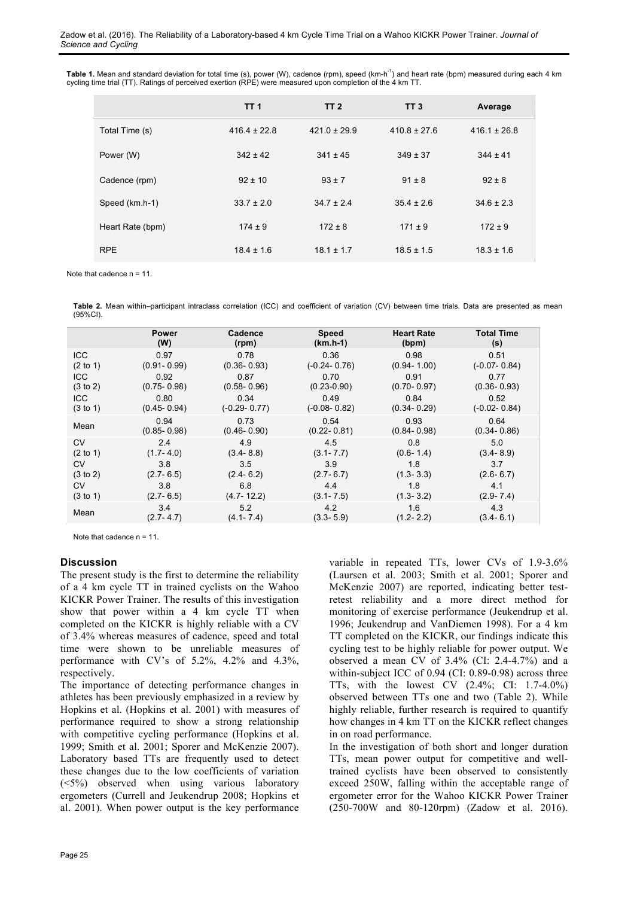Table 1. Mean and standard deviation for total time (s), power (W), cadence (rpm), speed (km-h<sup>-1</sup>) and heart rate (bpm) measured during each 4 km cycling time trial (TT). Ratings of perceived exertion (RPE) were measured upon completion of the 4 km TT.

|                  | TT <sub>1</sub>  | <b>TT 2</b>      | TT <sub>3</sub>  | Average          |
|------------------|------------------|------------------|------------------|------------------|
| Total Time (s)   | $416.4 \pm 22.8$ | $421.0 \pm 29.9$ | $410.8 \pm 27.6$ | $416.1 \pm 26.8$ |
| Power (W)        | $342 \pm 42$     | $341 \pm 45$     | $349 \pm 37$     | $344 \pm 41$     |
| Cadence (rpm)    | $92 \pm 10$      | $93 \pm 7$       | $91 \pm 8$       | $92 \pm 8$       |
| Speed (km.h-1)   | $33.7 \pm 2.0$   | $34.7 \pm 2.4$   | $35.4 \pm 2.6$   | $34.6 \pm 2.3$   |
| Heart Rate (bpm) | $174 \pm 9$      | $172 \pm 8$      | $171 \pm 9$      | $172 \pm 9$      |
| <b>RPE</b>       | $18.4 \pm 1.6$   | $18.1 \pm 1.7$   | $18.5 \pm 1.5$   | $18.3 \pm 1.6$   |

Note that cadence n = 11.

**Table 2.** Mean within–participant intraclass correlation (ICC) and coefficient of variation (CV) between time trials. Data are presented as mean (95%CI).

|                     | Power           | Cadence          | <b>Speed</b>     | <b>Heart Rate</b> | <b>Total Time</b> |
|---------------------|-----------------|------------------|------------------|-------------------|-------------------|
|                     | (W)             | (rpm)            | $(km.h-1)$       | (bpm)             | (s)               |
| <b>ICC</b>          | 0.97            | 0.78             | 0.36             | 0.98              | 0.51              |
| $(2 \text{ to } 1)$ | $(0.91 - 0.99)$ | $(0.36 - 0.93)$  | $(-0.24 - 0.76)$ | $(0.94 - 1.00)$   | $(-0.07 - 0.84)$  |
| <b>ICC</b>          | 0.92            | 0.87             | 0.70             | 0.91              | 0.77              |
| $(3 \text{ to } 2)$ | $(0.75 - 0.98)$ | $(0.58 - 0.96)$  | $(0.23 - 0.90)$  | $(0.70 - 0.97)$   | $(0.36 - 0.93)$   |
| <b>ICC</b>          | 0.80            | 0.34             | 0.49             | 0.84              | 0.52              |
| (3 to 1)            | $(0.45 - 0.94)$ | $(-0.29 - 0.77)$ | $(-0.08 - 0.82)$ | $(0.34 - 0.29)$   | $(-0.02 - 0.84)$  |
| Mean                | 0.94            | 0.73             | 0.54             | 0.93              | 0.64              |
|                     | $(0.85 - 0.98)$ | $(0.46 - 0.90)$  | $(0.22 - 0.81)$  | $(0.84 - 0.98)$   | $(0.34 - 0.86)$   |
| <b>CV</b>           | 2.4             | 4.9              | 4.5              | 0.8               | 5.0               |
| (2 to 1)            | $(1.7 - 4.0)$   | $(3.4 - 8.8)$    | $(3.1 - 7.7)$    | $(0.6 - 1.4)$     | $(3.4 - 8.9)$     |
| CV                  | 3.8             | 3.5              | 3.9              | 1.8               | 3.7               |
| (3 to 2)            | $(2.7 - 6.5)$   | $(2.4 - 6.2)$    | $(2.7 - 6.7)$    | $(1.3 - 3.3)$     | $(2.6 - 6.7)$     |
| <b>CV</b>           | 3.8             | 6.8              | 4.4              | 1.8               | 4.1               |
| (3 to 1)            | $(2.7 - 6.5)$   | $(4.7 - 12.2)$   | $(3.1 - 7.5)$    | $(1.3 - 3.2)$     | $(2.9 - 7.4)$     |
| Mean                | 3.4             | 5.2              | 4.2              | 1.6               | 4.3               |
|                     | $(2.7 - 4.7)$   | $(4.1 - 7.4)$    | $(3.3 - 5.9)$    | $(1.2 - 2.2)$     | $(3.4 - 6.1)$     |

Note that cadence n = 11.

#### **Discussion**

The present study is the first to determine the reliability of a 4 km cycle TT in trained cyclists on the Wahoo KICKR Power Trainer. The results of this investigation show that power within a 4 km cycle TT when completed on the KICKR is highly reliable with a CV of 3.4% whereas measures of cadence, speed and total time were shown to be unreliable measures of performance with CV's of 5.2%, 4.2% and 4.3%, respectively.

The importance of detecting performance changes in athletes has been previously emphasized in a review by Hopkins et al. (Hopkins et al. 2001) with measures of performance required to show a strong relationship with competitive cycling performance (Hopkins et al. 1999; Smith et al. 2001; Sporer and McKenzie 2007). Laboratory based TTs are frequently used to detect these changes due to the low coefficients of variation (<5%) observed when using various laboratory ergometers (Currell and Jeukendrup 2008; Hopkins et al. 2001). When power output is the key performance

variable in repeated TTs, lower CVs of 1.9-3.6% (Laursen et al. 2003; Smith et al. 2001; Sporer and McKenzie 2007) are reported, indicating better testretest reliability and a more direct method for monitoring of exercise performance (Jeukendrup et al. 1996; Jeukendrup and VanDiemen 1998). For a 4 km TT completed on the KICKR, our findings indicate this cycling test to be highly reliable for power output. We observed a mean CV of 3.4% (CI: 2.4-4.7%) and a within-subject ICC of 0.94 (CI: 0.89-0.98) across three TTs, with the lowest CV (2.4%; CI: 1.7-4.0%) observed between TTs one and two (Table 2). While highly reliable, further research is required to quantify how changes in 4 km TT on the KICKR reflect changes in on road performance.

In the investigation of both short and longer duration TTs, mean power output for competitive and welltrained cyclists have been observed to consistently exceed 250W, falling within the acceptable range of ergometer error for the Wahoo KICKR Power Trainer (250-700W and 80-120rpm) (Zadow et al. 2016).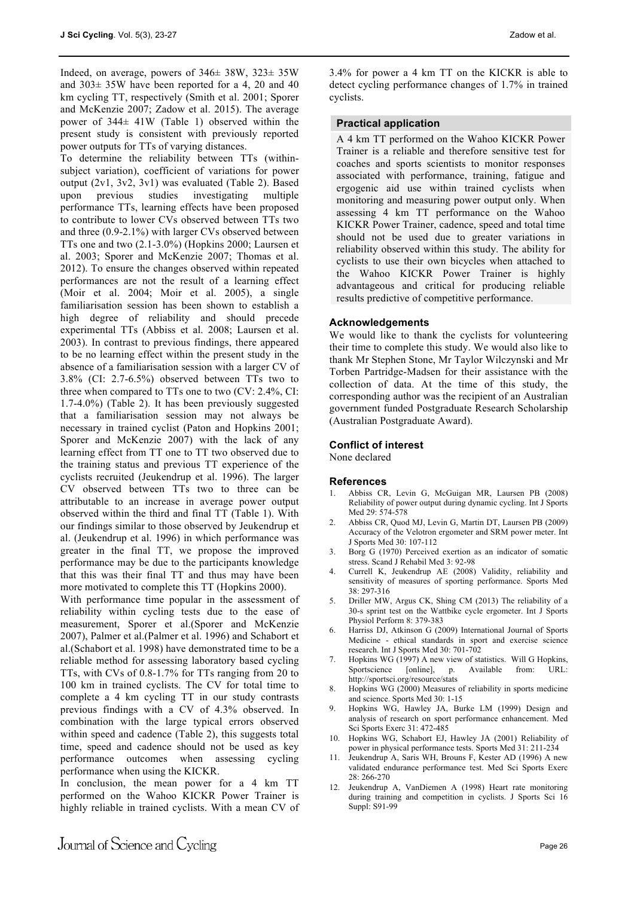Indeed, on average, powers of 346± 38W, 323± 35W and 303± 35W have been reported for a 4, 20 and 40 km cycling TT, respectively (Smith et al. 2001; Sporer and McKenzie 2007; Zadow et al. 2015). The average power of 344± 41W (Table 1) observed within the present study is consistent with previously reported power outputs for TTs of varying distances.

To determine the reliability between TTs (withinsubject variation), coefficient of variations for power output (2v1, 3v2, 3v1) was evaluated (Table 2). Based upon previous studies investigating multiple performance TTs, learning effects have been proposed to contribute to lower CVs observed between TTs two and three (0.9-2.1%) with larger CVs observed between TTs one and two (2.1-3.0%) (Hopkins 2000; Laursen et al. 2003; Sporer and McKenzie 2007; Thomas et al. 2012). To ensure the changes observed within repeated performances are not the result of a learning effect (Moir et al. 2004; Moir et al. 2005), a single familiarisation session has been shown to establish a high degree of reliability and should precede experimental TTs (Abbiss et al. 2008; Laursen et al. 2003). In contrast to previous findings, there appeared to be no learning effect within the present study in the absence of a familiarisation session with a larger CV of 3.8% (CI: 2.7-6.5%) observed between TTs two to three when compared to TTs one to two (CV: 2.4%, CI: 1.7-4.0%) (Table 2). It has been previously suggested that a familiarisation session may not always be necessary in trained cyclist (Paton and Hopkins 2001; Sporer and McKenzie 2007) with the lack of any learning effect from TT one to TT two observed due to the training status and previous TT experience of the cyclists recruited (Jeukendrup et al. 1996). The larger CV observed between TTs two to three can be attributable to an increase in average power output observed within the third and final TT (Table 1). With our findings similar to those observed by Jeukendrup et al. (Jeukendrup et al. 1996) in which performance was greater in the final TT, we propose the improved performance may be due to the participants knowledge that this was their final TT and thus may have been more motivated to complete this TT (Hopkins 2000).

With performance time popular in the assessment of reliability within cycling tests due to the ease of measurement, Sporer et al.(Sporer and McKenzie 2007), Palmer et al.(Palmer et al. 1996) and Schabort et al.(Schabort et al. 1998) have demonstrated time to be a reliable method for assessing laboratory based cycling TTs, with CVs of 0.8-1.7% for TTs ranging from 20 to 100 km in trained cyclists. The CV for total time to complete a 4 km cycling TT in our study contrasts previous findings with a CV of 4.3% observed. In combination with the large typical errors observed within speed and cadence (Table 2), this suggests total time, speed and cadence should not be used as key performance outcomes when assessing cycling performance when using the KICKR.

In conclusion, the mean power for a 4 km TT performed on the Wahoo KICKR Power Trainer is highly reliable in trained cyclists. With a mean CV of 3.4% for power a 4 km TT on the KICKR is able to detect cycling performance changes of 1.7% in trained cyclists.

## **Practical application**

A 4 km TT performed on the Wahoo KICKR Power Trainer is a reliable and therefore sensitive test for coaches and sports scientists to monitor responses associated with performance, training, fatigue and ergogenic aid use within trained cyclists when monitoring and measuring power output only. When assessing 4 km TT performance on the Wahoo KICKR Power Trainer, cadence, speed and total time should not be used due to greater variations in reliability observed within this study. The ability for cyclists to use their own bicycles when attached to the Wahoo KICKR Power Trainer is highly advantageous and critical for producing reliable results predictive of competitive performance.

## **Acknowledgements**

We would like to thank the cyclists for volunteering their time to complete this study. We would also like to thank Mr Stephen Stone, Mr Taylor Wilczynski and Mr Torben Partridge-Madsen for their assistance with the collection of data. At the time of this study, the corresponding author was the recipient of an Australian government funded Postgraduate Research Scholarship (Australian Postgraduate Award).

## **Conflict of interest**

None declared

#### **References**

- 1. Abbiss CR, Levin G, McGuigan MR, Laursen PB (2008) Reliability of power output during dynamic cycling. Int J Sports Med 29: 574-578
- 2. Abbiss CR, Quod MJ, Levin G, Martin DT, Laursen PB (2009) Accuracy of the Velotron ergometer and SRM power meter. Int J Sports Med 30: 107-112
- 3. Borg G (1970) Perceived exertion as an indicator of somatic stress. Scand J Rehabil Med 3: 92-98
- 4. Currell K, Jeukendrup AE (2008) Validity, reliability and sensitivity of measures of sporting performance. Sports Med 38: 297-316
- 5. Driller MW, Argus CK, Shing CM (2013) The reliability of a 30-s sprint test on the Wattbike cycle ergometer. Int J Sports Physiol Perform 8: 379-383
- Harriss DJ, Atkinson G (2009) International Journal of Sports Medicine - ethical standards in sport and exercise science research. Int J Sports Med 30: 701-702
- 7. Hopkins WG (1997) A new view of statistics. Will G Hopkins, Sportscience [online], p. Available from: URL: http://sportsci.org/resource/stats
- 8. Hopkins WG (2000) Measures of reliability in sports medicine and science. Sports Med 30: 1-15
- 9. Hopkins WG, Hawley JA, Burke LM (1999) Design and analysis of research on sport performance enhancement. Med Sci Sports Exerc 31: 472-485
- 10. Hopkins WG, Schabort EJ, Hawley JA (2001) Reliability of power in physical performance tests. Sports Med 31: 211-234
- 11. Jeukendrup A, Saris WH, Brouns F, Kester AD (1996) A new validated endurance performance test. Med Sci Sports Exerc 28: 266-270
- 12. Jeukendrup A, VanDiemen A (1998) Heart rate monitoring during training and competition in cyclists. J Sports Sci 16 Suppl: S91-99